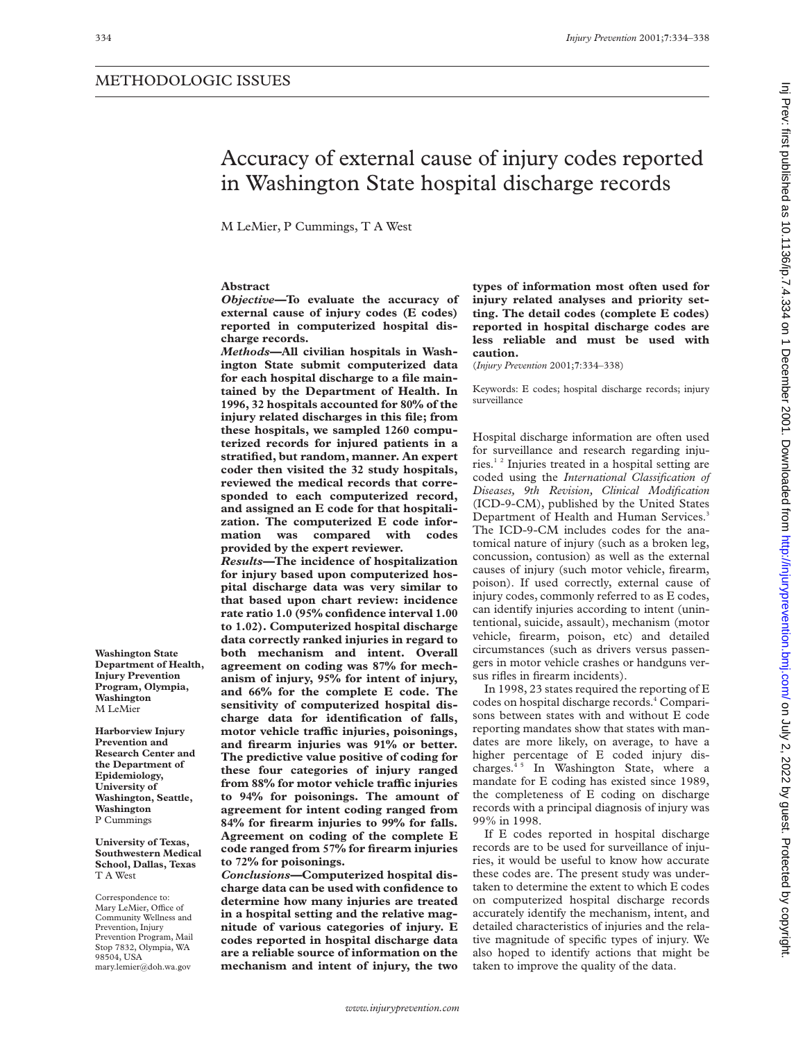# Accuracy of external cause of injury codes reported in Washington State hospital discharge records

M LeMier, P Cummings, T A West

# **Abstract**

*Objective—***To evaluate the accuracy of external cause of injury codes (E codes) reported in computerized hospital discharge records.**

*Methods—***All civilian hospitals in Washington State submit computerized data for each hospital discharge to a file maintained by the Department of Health. In 1996, 32 hospitals accounted for 80% of the injury related discharges in this file; from these hospitals, we sampled 1260 computerized records for injured patients in a stratified, but random, manner. An expert coder then visited the 32 study hospitals, reviewed the medical records that corresponded to each computerized record, and assigned an E code for that hospitalization. The computerized E code information was compared with codes provided by the expert reviewer.**

*Results—***The incidence of hospitalization for injury based upon computerized hospital discharge data was very similar to that based upon chart review: incidence rate ratio 1.0 (95% confidence interval 1.00 to 1.02). Computerized hospital discharge data correctly ranked injuries in regard to both mechanism and intent. Overall agreement on coding was 87% for mechanism of injury, 95% for intent of injury, and 66% for the complete E code. The sensitivity of computerized hospital discharge data for identification of falls, motor vehicle traYc injuries, poisonings, and firearm injuries was 91% or better. The predictive value positive of coding for these four categories of injury ranged from 88% for motor vehicle traYc injuries to 94% for poisonings. The amount of agreement for intent coding ranged from 84% for firearm injuries to 99% for falls. Agreement on coding of the complete E code ranged from 57% for firearm injuries to 72% for poisonings.**

*Conclusions—***Computerized hospital discharge data can be used with confidence to determine how many injuries are treated in a hospital setting and the relative magnitude of various categories of injury. E codes reported in hospital discharge data are a reliable source of information on the mechanism and intent of injury, the two**

**types of information most often used for injury related analyses and priority setting. The detail codes (complete E codes) reported in hospital discharge codes are less reliable and must be used with caution.**

(*Injury Prevention* 2001;**7**:334–338)

Keywords: E codes; hospital discharge records; injury surveillance

Hospital discharge information are often used for surveillance and research regarding injuries.1 2 Injuries treated in a hospital setting are coded using the *International Classification of Diseases, 9th Revision, Clinical Modification* (ICD-9-CM), published by the United States Department of Health and Human Services.<sup>3</sup> The ICD-9-CM includes codes for the anatomical nature of injury (such as a broken leg, concussion, contusion) as well as the external causes of injury (such motor vehicle, firearm, poison). If used correctly, external cause of injury codes, commonly referred to as E codes, can identify injuries according to intent (unintentional, suicide, assault), mechanism (motor vehicle, firearm, poison, etc) and detailed circumstances (such as drivers versus passengers in motor vehicle crashes or handguns versus rifles in firearm incidents).

In 1998, 23 states required the reporting of E codes on hospital discharge records.4 Comparisons between states with and without E code reporting mandates show that states with mandates are more likely, on average, to have a higher percentage of E coded injury discharges.<sup>45</sup> In Washington State, where a mandate for E coding has existed since 1989, the completeness of E coding on discharge records with a principal diagnosis of injury was 99% in 1998.

If E codes reported in hospital discharge records are to be used for surveillance of injuries, it would be useful to know how accurate these codes are. The present study was undertaken to determine the extent to which E codes on computerized hospital discharge records accurately identify the mechanism, intent, and detailed characteristics of injuries and the relative magnitude of specific types of injury. We also hoped to identify actions that might be taken to improve the quality of the data.

**Washington State Department of Health, Injury Prevention Program, Olympia, Washington** M LeMier

**Harborview Injury Prevention and Research Center and the Department of Epidemiology, University of Washington, Seattle, Washington** P Cummings

**University of Texas, Southwestern Medical School, Dallas, Texas** T A West

Correspondence to: Mary LeMier, Office of Community Wellness and Prevention, Injury Prevention Program, Mail Stop 7832, Olympia, WA 98504, USA mary.lemier@doh.wa.gov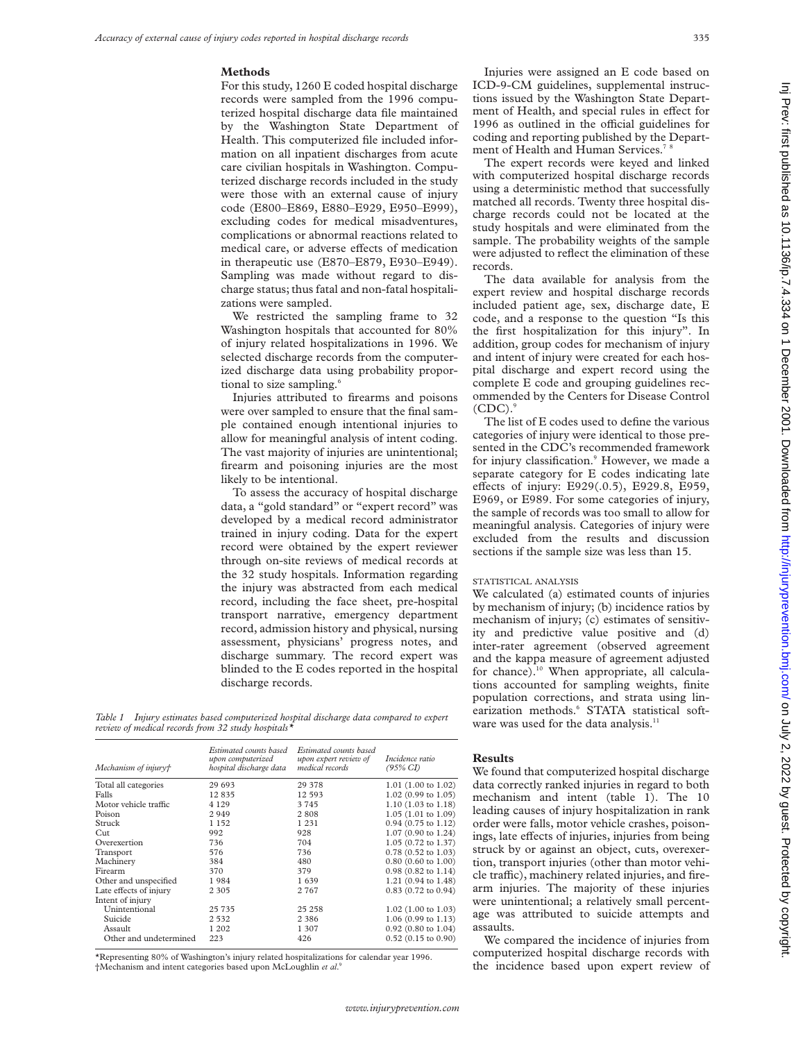### **Methods**

For this study, 1260 E coded hospital discharge records were sampled from the 1996 computerized hospital discharge data file maintained by the Washington State Department of Health. This computerized file included information on all inpatient discharges from acute care civilian hospitals in Washington. Computerized discharge records included in the study were those with an external cause of injury code (E800–E869, E880–E929, E950–E999), excluding codes for medical misadventures, complications or abnormal reactions related to medical care, or adverse effects of medication in therapeutic use (E870–E879, E930–E949). Sampling was made without regard to discharge status; thus fatal and non-fatal hospitalizations were sampled.

We restricted the sampling frame to 32 Washington hospitals that accounted for 80% of injury related hospitalizations in 1996. We selected discharge records from the computerized discharge data using probability proportional to size sampling.<sup>6</sup>

Injuries attributed to firearms and poisons were over sampled to ensure that the final sample contained enough intentional injuries to allow for meaningful analysis of intent coding. The vast majority of injuries are unintentional; firearm and poisoning injuries are the most likely to be intentional.

To assess the accuracy of hospital discharge data, a "gold standard" or "expert record" was developed by a medical record administrator trained in injury coding. Data for the expert record were obtained by the expert reviewer through on-site reviews of medical records at the 32 study hospitals. Information regarding the injury was abstracted from each medical record, including the face sheet, pre-hospital transport narrative, emergency department record, admission history and physical, nursing assessment, physicians' progress notes, and discharge summary. The record expert was blinded to the E codes reported in the hospital discharge records.

*Table 1 Injury estimates based computerized hospital discharge data compared to expert review of medical records from 32 study hospitals\**

| Mechanism of injury†   | Estimated counts based<br>upon computerized<br>hospital discharge data | Estimated counts based<br>upon expert review of<br>medical records | Incidence ratio<br>$(95\% \text{ CI})$ |
|------------------------|------------------------------------------------------------------------|--------------------------------------------------------------------|----------------------------------------|
| Total all categories   | 29 693                                                                 | 29 378                                                             | $1.01$ (1.00 to 1.02)                  |
| Falls                  | 12835                                                                  | 12 593                                                             | 1.02 (0.99 to 1.05)                    |
| Motor vehicle traffic  | 4 1 2 9                                                                | 3745                                                               | $1.10(1.03 \text{ to } 1.18)$          |
| Poison                 | 2 9 4 9                                                                | 2808                                                               | $1.05(1.01 \text{ to } 1.09)$          |
| Struck                 | 1 1 5 2                                                                | 1 2 3 1                                                            | $0.94$ (0.75 to 1.12)                  |
| Cut                    | 992                                                                    | 928                                                                | 1.07 (0.90 to 1.24)                    |
| Overexertion           | 736                                                                    | 704                                                                | 1.05 (0.72 to 1.37)                    |
| Transport              | 576                                                                    | 736                                                                | $0.78$ (0.52 to 1.03)                  |
| Machinery              | 384                                                                    | 480                                                                | $0.80$ (0.60 to 1.00)                  |
| Firearm                | 370                                                                    | 379                                                                | $0.98$ (0.82 to 1.14)                  |
| Other and unspecified  | 1984                                                                   | 1639                                                               | 1.21 (0.94 to 1.48)                    |
| Late effects of injury | 2 3 0 5                                                                | 2 7 6 7                                                            | 0.83 (0.72 to 0.94)                    |
| Intent of injury       |                                                                        |                                                                    |                                        |
| Unintentional          | 25 7 35                                                                | 25 25 8                                                            | $1.02$ (1.00 to 1.03)                  |
| Suicide                | 2 5 3 2                                                                | 2 3 8 6                                                            | 1.06 (0.99 to 1.13)                    |
| Assault                | 1 202                                                                  | 1 3 0 7                                                            | $0.92$ (0.80 to 1.04)                  |
| Other and undetermined | 223                                                                    | 426                                                                | $0.52$ (0.15 to 0.90)                  |

\*Representing 80% of Washington's injury related hospitalizations for calendar year 1996. †Mechanism and intent categories based upon McLoughlin *et al*. 9

Injuries were assigned an E code based on ICD-9-CM guidelines, supplemental instructions issued by the Washington State Department of Health, and special rules in effect for 1996 as outlined in the official guidelines for coding and reporting published by the Department of Health and Human Services.<sup>7</sup>

The expert records were keyed and linked with computerized hospital discharge records using a deterministic method that successfully matched all records. Twenty three hospital discharge records could not be located at the study hospitals and were eliminated from the sample. The probability weights of the sample were adjusted to reflect the elimination of these records.

The data available for analysis from the expert review and hospital discharge records included patient age, sex, discharge date, E code, and a response to the question "Is this the first hospitalization for this injury". In addition, group codes for mechanism of injury and intent of injury were created for each hospital discharge and expert record using the complete E code and grouping guidelines recommended by the Centers for Disease Control  $(CDC)$ .

The list of E codes used to define the various categories of injury were identical to those presented in the CDC's recommended framework for injury classification.<sup>9</sup> However, we made a separate category for E codes indicating late effects of injury: E929(.0.5), E929.8, E959, E969, or E989. For some categories of injury, the sample of records was too small to allow for meaningful analysis. Categories of injury were excluded from the results and discussion sections if the sample size was less than 15.

#### STATISTICAL ANALYSIS

We calculated (a) estimated counts of injuries by mechanism of injury; (b) incidence ratios by mechanism of injury; (c) estimates of sensitivity and predictive value positive and (d) inter-rater agreement (observed agreement and the kappa measure of agreement adjusted for chance).<sup>10</sup> When appropriate, all calculations accounted for sampling weights, finite population corrections, and strata using linearization methods.<sup>6</sup> STATA statistical software was used for the data analysis. $11$ 

# **Results**

We found that computerized hospital discharge data correctly ranked injuries in regard to both mechanism and intent (table 1). The 10 leading causes of injury hospitalization in rank order were falls, motor vehicle crashes, poisonings, late effects of injuries, injuries from being struck by or against an object, cuts, overexertion, transport injuries (other than motor vehicle traffic), machinery related injuries, and firearm injuries. The majority of these injuries were unintentional; a relatively small percentage was attributed to suicide attempts and assaults.

We compared the incidence of injuries from computerized hospital discharge records with the incidence based upon expert review of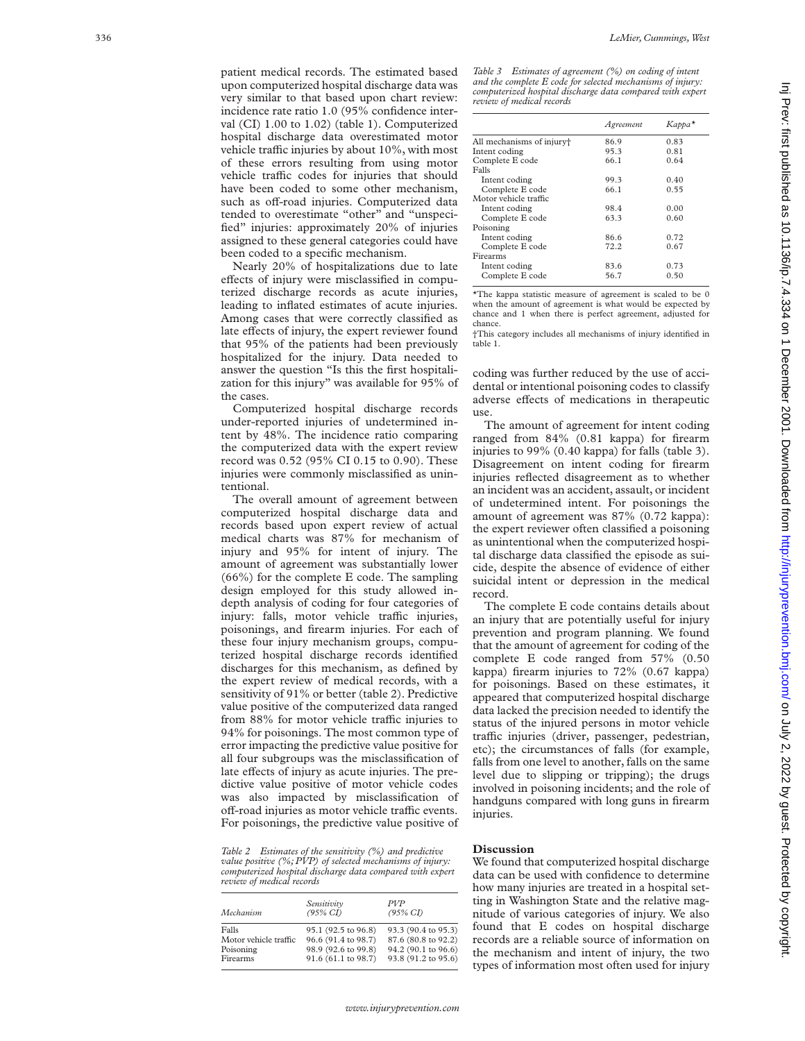patient medical records. The estimated based upon computerized hospital discharge data was very similar to that based upon chart review: incidence rate ratio 1.0 (95% confidence interval (CI) 1.00 to 1.02) (table 1). Computerized hospital discharge data overestimated motor vehicle traffic injuries by about 10%, with most of these errors resulting from using motor vehicle traffic codes for injuries that should have been coded to some other mechanism, such as off-road injuries. Computerized data tended to overestimate "other" and "unspecified" injuries: approximately 20% of injuries assigned to these general categories could have been coded to a specific mechanism.

Nearly 20% of hospitalizations due to late effects of injury were misclassified in computerized discharge records as acute injuries, leading to inflated estimates of acute injuries. Among cases that were correctly classified as late effects of injury, the expert reviewer found that 95% of the patients had been previously hospitalized for the injury. Data needed to answer the question "Is this the first hospitalization for this injury" was available for 95% of the cases.

Computerized hospital discharge records under-reported injuries of undetermined intent by 48%. The incidence ratio comparing the computerized data with the expert review record was 0.52 (95% CI 0.15 to 0.90). These injuries were commonly misclassified as unintentional.

The overall amount of agreement between computerized hospital discharge data and records based upon expert review of actual medical charts was 87% for mechanism of injury and 95% for intent of injury. The amount of agreement was substantially lower (66%) for the complete E code. The sampling design employed for this study allowed indepth analysis of coding for four categories of injury: falls, motor vehicle traffic injuries, poisonings, and firearm injuries. For each of these four injury mechanism groups, computerized hospital discharge records identified discharges for this mechanism, as defined by the expert review of medical records, with a sensitivity of 91% or better (table 2). Predictive value positive of the computerized data ranged from 88% for motor vehicle traffic injuries to 94% for poisonings. The most common type of error impacting the predictive value positive for all four subgroups was the misclassification of late effects of injury as acute injuries. The predictive value positive of motor vehicle codes was also impacted by misclassification of off-road injuries as motor vehicle traffic events. For poisonings, the predictive value positive of

*Table 2 Estimates of the sensitivity (%) and predictive value positive (%; PVP) of selected mechanisms of injury: computerized hospital discharge data compared with expert review of medical records*

| Mechanism             | Sensitivity<br>$(95\% \text{ CI})$ | <b>PVP</b><br>$(95\% \text{ CI})$ |
|-----------------------|------------------------------------|-----------------------------------|
| Falls                 | 95.1 (92.5 to 96.8)                | 93.3 (90.4 to 95.3)               |
| Motor vehicle traffic | 96.6 (91.4 to 98.7)                | 87.6 (80.8 to 92.2)               |
| Poisoning             | 98.9 (92.6 to 99.8)                | 94.2 (90.1 to 96.6)               |
| Firearms              | 91.6 (61.1 to 98.7)                | 93.8 (91.2 to 95.6)               |

*Table 3 Estimates of agreement (%) on coding of intent and the complete E code for selected mechanisms of injury: computerized hospital discharge data compared with expert review of medical records*

|                                       | Agreement | Карра* |
|---------------------------------------|-----------|--------|
| All mechanisms of injury <sup>+</sup> | 86.9      | 0.83   |
| Intent coding                         | 95.3      | 0.81   |
| Complete E code                       | 66.1      | 0.64   |
| Falls                                 |           |        |
| Intent coding                         | 99.3      | 0.40   |
| Complete E code                       | 66.1      | 0.55   |
| Motor vehicle traffic                 |           |        |
| Intent coding                         | 98.4      | 0.00   |
| Complete E code                       | 63.3      | 0.60   |
| Poisoning                             |           |        |
| Intent coding                         | 86.6      | 0.72   |
| Complete E code                       | 72.2      | 0.67   |
| Firearms                              |           |        |
| Intent coding                         | 83.6      | 0.73   |
| Complete E code                       | 56.7      | 0.50   |

\*The kappa statistic measure of agreement is scaled to be 0 when the amount of agreement is what would be expected by chance and 1 when there is perfect agreement, adjusted for chance.

†This category includes all mechanisms of injury identified in table 1.

coding was further reduced by the use of accidental or intentional poisoning codes to classify adverse effects of medications in therapeutic use.

The amount of agreement for intent coding ranged from 84% (0.81 kappa) for firearm injuries to 99% (0.40 kappa) for falls (table 3). Disagreement on intent coding for firearm injuries reflected disagreement as to whether an incident was an accident, assault, or incident of undetermined intent. For poisonings the amount of agreement was 87% (0.72 kappa): the expert reviewer often classified a poisoning as unintentional when the computerized hospital discharge data classified the episode as suicide, despite the absence of evidence of either suicidal intent or depression in the medical record.

The complete E code contains details about an injury that are potentially useful for injury prevention and program planning. We found that the amount of agreement for coding of the complete E code ranged from 57% (0.50 kappa) firearm injuries to 72% (0.67 kappa) for poisonings. Based on these estimates, it appeared that computerized hospital discharge data lacked the precision needed to identify the status of the injured persons in motor vehicle traffic injuries (driver, passenger, pedestrian, etc); the circumstances of falls (for example, falls from one level to another, falls on the same level due to slipping or tripping); the drugs involved in poisoning incidents; and the role of handguns compared with long guns in firearm injuries.

## **Discussion**

We found that computerized hospital discharge data can be used with confidence to determine how many injuries are treated in a hospital setting in Washington State and the relative magnitude of various categories of injury. We also found that E codes on hospital discharge records are a reliable source of information on the mechanism and intent of injury, the two types of information most often used for injury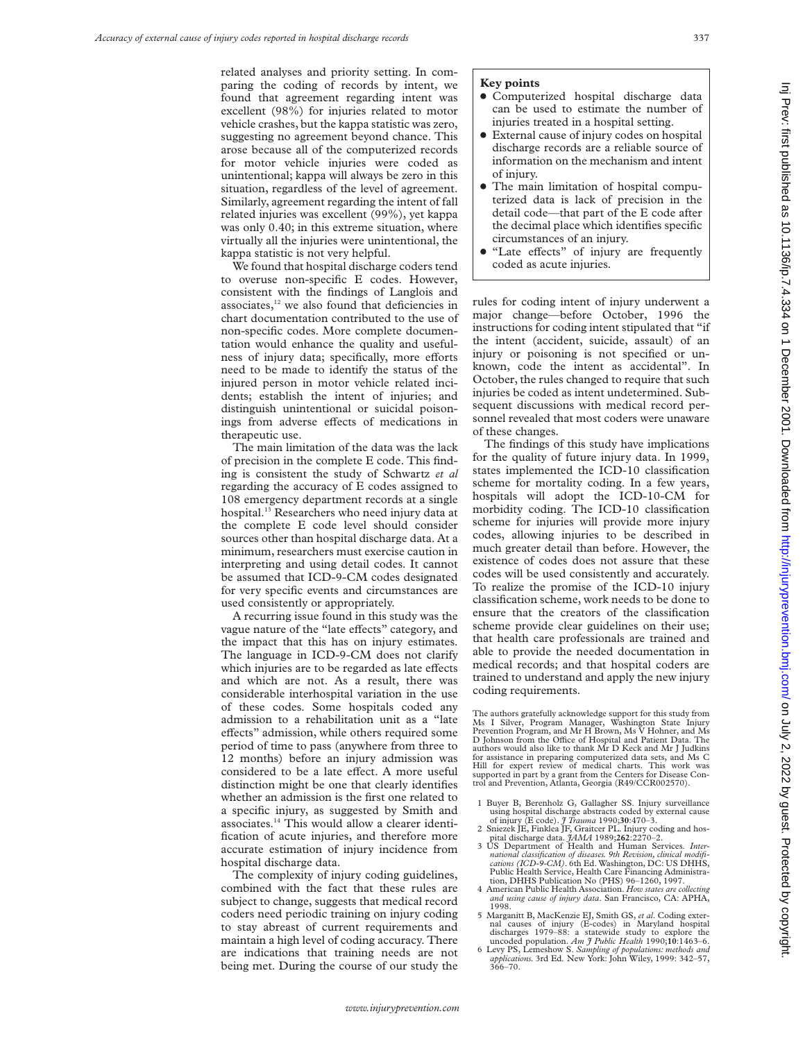related analyses and priority setting. In comparing the coding of records by intent, we found that agreement regarding intent was excellent (98%) for injuries related to motor vehicle crashes, but the kappa statistic was zero, suggesting no agreement beyond chance. This arose because all of the computerized records for motor vehicle injuries were coded as unintentional; kappa will always be zero in this situation, regardless of the level of agreement. Similarly, agreement regarding the intent of fall related injuries was excellent (99%), yet kappa was only 0.40; in this extreme situation, where virtually all the injuries were unintentional, the kappa statistic is not very helpful.

We found that hospital discharge coders tend to overuse non-specific E codes. However, consistent with the findings of Langlois and associates, $12$  we also found that deficiencies in chart documentation contributed to the use of non-specific codes. More complete documentation would enhance the quality and usefulness of injury data; specifically, more efforts need to be made to identify the status of the injured person in motor vehicle related incidents; establish the intent of injuries; and distinguish unintentional or suicidal poisonings from adverse effects of medications in therapeutic use.

The main limitation of the data was the lack of precision in the complete E code. This finding is consistent the study of Schwartz *et al* regarding the accuracy of E codes assigned to 108 emergency department records at a single hospital.13 Researchers who need injury data at the complete E code level should consider sources other than hospital discharge data. At a minimum, researchers must exercise caution in interpreting and using detail codes. It cannot be assumed that ICD-9-CM codes designated for very specific events and circumstances are used consistently or appropriately.

A recurring issue found in this study was the vague nature of the "late effects" category, and the impact that this has on injury estimates. The language in ICD-9-CM does not clarify which injuries are to be regarded as late effects and which are not. As a result, there was considerable interhospital variation in the use of these codes. Some hospitals coded any admission to a rehabilitation unit as a "late effects" admission, while others required some period of time to pass (anywhere from three to 12 months) before an injury admission was considered to be a late effect. A more useful distinction might be one that clearly identifies whether an admission is the first one related to a specific injury, as suggested by Smith and associates.14 This would allow a clearer identification of acute injuries, and therefore more accurate estimation of injury incidence from hospital discharge data.

The complexity of injury coding guidelines, combined with the fact that these rules are subject to change, suggests that medical record coders need periodic training on injury coding to stay abreast of current requirements and maintain a high level of coding accuracy. There are indications that training needs are not being met. During the course of our study the

#### **Key points**

- Computerized hospital discharge data can be used to estimate the number of injuries treated in a hospital setting.
- External cause of injury codes on hospital discharge records are a reliable source of information on the mechanism and intent of injury.
- The main limitation of hospital computerized data is lack of precision in the detail code—that part of the E code after the decimal place which identifies specific circumstances of an injury.
- "Late effects" of injury are frequently coded as acute injuries.

rules for coding intent of injury underwent a major change—before October, 1996 the instructions for coding intent stipulated that "if the intent (accident, suicide, assault) of an injury or poisoning is not specified or unknown, code the intent as accidental". In October, the rules changed to require that such injuries be coded as intent undetermined. Subsequent discussions with medical record personnel revealed that most coders were unaware of these changes.

The findings of this study have implications for the quality of future injury data. In 1999, states implemented the ICD-10 classification scheme for mortality coding. In a few years, hospitals will adopt the ICD-10-CM for morbidity coding. The ICD-10 classification scheme for injuries will provide more injury codes, allowing injuries to be described in much greater detail than before. However, the existence of codes does not assure that these codes will be used consistently and accurately. To realize the promise of the ICD-10 injury classification scheme, work needs to be done to ensure that the creators of the classification scheme provide clear guidelines on their use; that health care professionals are trained and able to provide the needed documentation in medical records; and that hospital coders are trained to understand and apply the new injury coding requirements.

The authors gratefully acknowledge support for this study from<br>Ms I Silver, Program Manager, Washington State Injury<br>Prevention Program, and Mr H Brown, Ms V Hohner, and Ms<br>D Johnson from the Office of Hospital and Patient authors would also like to thank Mr D Keck and Mr J Judkins for assistance in preparing computerized data sets, and Ms C Hill for expert review of medical charts. This work was supported in part by a grant from the Centers for Disease Control and Prevention, Atlanta, Georgia (R49/CCR002570).

- 1 Buyer B, Berenholz G, Gallagher SS. Injury surveillance<br>using hospital discharge abstracts coded by external cause<br>of injury (E code). *J Trauma* 1990;30:470-3.<br>2 Sniezek JE, Finklea JF, Graitcer PL. Injury coding and ho
- 
- pital discharge data. *JAMA* 1989;**262**:2270–2. 3 US Department of Health and Human Services. *International classification of diseases. 9th Revision, clinical modifications (ICD-9-CM).* 6th Ed. Washington, DC: US DHHS, Public Health Service, Health Care Financing Administra-tion, DHHS Publication No (PHS) 96–1260, 1997.
- 4 American Public Health Association. *How states are collecting and using cause of injury data*. San Francisco, CA: APHA,
- 1998. 5 Marganitt B, MacKenzie EJ, Smith GS, *et al*. Coding external causes of injury (E-codes) in Maryland hospital discharges 1979–88: a statewide study to explore the
- uncoded population. *Am J Public Health* 1990;**10**:1463–6. 6 Levy PS, Lemeshow S. *Sampling of populations: methods and applications.* 3rd Ed*.* New York: John Wiley, 1999: 342–57, 366–70.